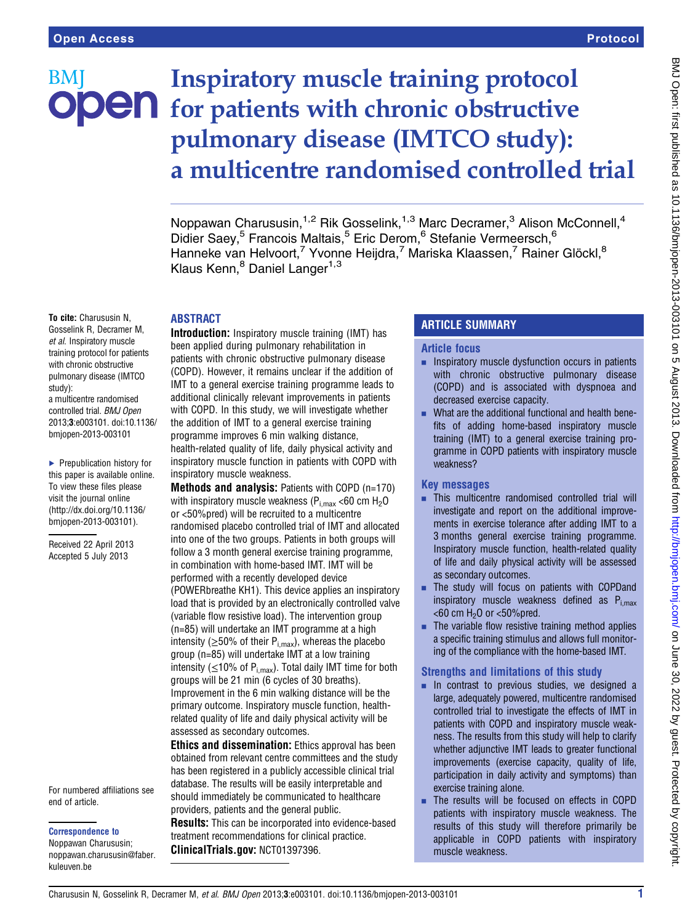# Inspiratory muscle training protocol BM **JOEN** for patients with chronic obstructive pulmonary disease (IMTCO study): a multicentre randomised controlled trial

Noppawan Charususin,<sup>1,2</sup> Rik Gosselink,<sup>1,3</sup> Marc Decramer,<sup>3</sup> Alison McConnell,<sup>4</sup> Didier Saey,<sup>5</sup> Francois Maltais,<sup>5</sup> Eric Derom,<sup>6</sup> Stefanie Vermeersch,<sup>6</sup> Hanneke van Helvoort,<sup>7</sup> Yvonne Heijdra,<sup>7</sup> Mariska Klaassen,<sup>7</sup> Rainer Glöckl,<sup>8</sup> Klaus Kenn, <sup>8</sup> Daniel Langer<sup>1,3</sup>

### ABSTRACT

To cite: Charususin N, Gosselink R, Decramer M, et al. Inspiratory muscle training protocol for patients with chronic obstructive pulmonary disease (IMTCO study): a multicentre randomised controlled trial. BMJ Open 2013;3:e003101. doi:10.1136/ bmjopen-2013-003101

▶ Prepublication history for this paper is available online. To view these files please visit the journal online [\(http://dx.doi.org/10.1136/](http://dx.doi.org/10.1136/bmjopen-2013-003101) [bmjopen-2013-003101](http://dx.doi.org/10.1136/bmjopen-2013-003101)).

Received 22 April 2013 Accepted 5 July 2013

#### For numbered affiliations see end of article.

Correspondence to

Noppawan Charususin; noppawan.charususin@faber. kuleuven.be

Introduction: Inspiratory muscle training (IMT) has been applied during pulmonary rehabilitation in patients with chronic obstructive pulmonary disease (COPD). However, it remains unclear if the addition of IMT to a general exercise training programme leads to additional clinically relevant improvements in patients with COPD. In this study, we will investigate whether the addition of IMT to a general exercise training programme improves 6 min walking distance, health-related quality of life, daily physical activity and inspiratory muscle function in patients with COPD with inspiratory muscle weakness.

Methods and analysis: Patients with COPD (n=170) with inspiratory muscle weakness ( $P_{i,max}$  <60 cm  $H_2O$ or <50%pred) will be recruited to a multicentre randomised placebo controlled trial of IMT and allocated into one of the two groups. Patients in both groups will follow a 3 month general exercise training programme, in combination with home-based IMT. IMT will be performed with a recently developed device (POWERbreathe KH1). This device applies an inspiratory load that is provided by an electronically controlled valve (variable flow resistive load). The intervention group (n=85) will undertake an IMT programme at a high intensity ( $\geq$ 50% of their P<sub>i,max</sub>), whereas the placebo group (n=85) will undertake IMT at a low training intensity ( $\leq$ 10% of P<sub>i,max</sub>). Total daily IMT time for both groups will be 21 min (6 cycles of 30 breaths). Improvement in the 6 min walking distance will be the primary outcome. Inspiratory muscle function, healthrelated quality of life and daily physical activity will be assessed as secondary outcomes.

**Ethics and dissemination:** Ethics approval has been obtained from relevant centre committees and the study has been registered in a publicly accessible clinical trial database. The results will be easily interpretable and should immediately be communicated to healthcare providers, patients and the general public. Results: This can be incorporated into evidence-based treatment recommendations for clinical practice. ClinicalTrials.gov: NCT01397396.

# ARTICLE SUMMARY

### Article focus

- **EXECUTE:** Inspiratory muscle dysfunction occurs in patients with chronic obstructive pulmonary disease (COPD) and is associated with dyspnoea and decreased exercise capacity.
- What are the additional functional and health benefits of adding home-based inspiratory muscle training (IMT) to a general exercise training programme in COPD patients with inspiratory muscle weakness?

## Key messages

- $\blacksquare$  This multicentre randomised controlled trial will investigate and report on the additional improvements in exercise tolerance after adding IMT to a 3 months general exercise training programme. Inspiratory muscle function, health-related quality of life and daily physical activity will be assessed as secondary outcomes.
- The study will focus on patients with COPDand inspiratory muscle weakness defined as  $P_{i, max}$  $<$ 60 cm H<sub>2</sub>O or  $<$ 50% pred.
- $\blacksquare$  The variable flow resistive training method applies a specific training stimulus and allows full monitoring of the compliance with the home-based IMT.

# Strengths and limitations of this study

- $\blacksquare$  In contrast to previous studies, we designed a large, adequately powered, multicentre randomised controlled trial to investigate the effects of IMT in patients with COPD and inspiratory muscle weakness. The results from this study will help to clarify whether adjunctive IMT leads to greater functional improvements (exercise capacity, quality of life, participation in daily activity and symptoms) than exercise training alone.
- The results will be focused on effects in COPD patients with inspiratory muscle weakness. The results of this study will therefore primarily be applicable in COPD patients with inspiratory muscle weakness.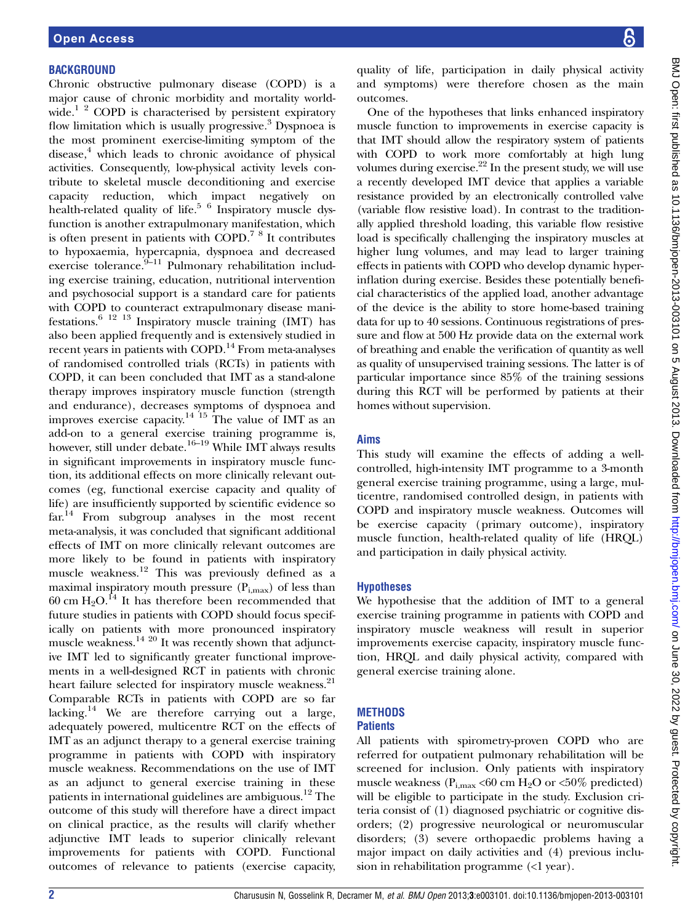#### **BACKGROUND**

Chronic obstructive pulmonary disease (COPD) is a major cause of chronic morbidity and mortality worldwide.<sup>1 2</sup> COPD is characterised by persistent expiratory flow limitation which is usually progressive.<sup>3</sup> Dyspnoea is the most prominent exercise-limiting symptom of the disease, $4$  which leads to chronic avoidance of physical activities. Consequently, low-physical activity levels contribute to skeletal muscle deconditioning and exercise capacity reduction, which impact negatively on health-related quality of life.<sup>5</sup> <sup>6</sup> Inspiratory muscle dysfunction is another extrapulmonary manifestation, which is often present in patients with COPD.7 8 It contributes to hypoxaemia, hypercapnia, dyspnoea and decreased  $e^{i\omega}$  exercise tolerance.<sup>9–11</sup> Pulmonary rehabilitation including exercise training, education, nutritional intervention and psychosocial support is a standard care for patients with COPD to counteract extrapulmonary disease manifestations.6 12 13 Inspiratory muscle training (IMT) has also been applied frequently and is extensively studied in recent years in patients with COPD.<sup>14</sup> From meta-analyses of randomised controlled trials (RCTs) in patients with COPD, it can been concluded that IMT as a stand-alone therapy improves inspiratory muscle function (strength and endurance), decreases symptoms of dyspnoea and improves exercise capacity.<sup>14 15</sup> The value of IMT as an add-on to a general exercise training programme is, however, still under debate.<sup>16–19</sup> While IMT always results in significant improvements in inspiratory muscle function, its additional effects on more clinically relevant outcomes (eg, functional exercise capacity and quality of life) are insufficiently supported by scientific evidence so far.<sup>14</sup> From subgroup analyses in the most recent meta-analysis, it was concluded that significant additional effects of IMT on more clinically relevant outcomes are more likely to be found in patients with inspiratory muscle weakness.<sup>12</sup> This was previously defined as a maximal inspiratory mouth pressure  $(P_{i,max})$  of less than 60 cm  $H_2O$ .<sup>14</sup> It has therefore been recommended that future studies in patients with COPD should focus specifically on patients with more pronounced inspiratory muscle weakness.<sup>14 20</sup> It was recently shown that adjunctive IMT led to significantly greater functional improvements in a well-designed RCT in patients with chronic heart failure selected for inspiratory muscle weakness.<sup>21</sup> Comparable RCTs in patients with COPD are so far lacking.<sup>14</sup> We are therefore carrying out a large, adequately powered, multicentre RCT on the effects of IMT as an adjunct therapy to a general exercise training programme in patients with COPD with inspiratory muscle weakness. Recommendations on the use of IMT as an adjunct to general exercise training in these patients in international guidelines are ambiguous.<sup>12</sup> The outcome of this study will therefore have a direct impact on clinical practice, as the results will clarify whether adjunctive IMT leads to superior clinically relevant improvements for patients with COPD. Functional outcomes of relevance to patients (exercise capacity,

quality of life, participation in daily physical activity and symptoms) were therefore chosen as the main outcomes.

One of the hypotheses that links enhanced inspiratory muscle function to improvements in exercise capacity is that IMT should allow the respiratory system of patients with COPD to work more comfortably at high lung volumes during exercise. $22$  In the present study, we will use a recently developed IMT device that applies a variable resistance provided by an electronically controlled valve (variable flow resistive load). In contrast to the traditionally applied threshold loading, this variable flow resistive load is specifically challenging the inspiratory muscles at higher lung volumes, and may lead to larger training effects in patients with COPD who develop dynamic hyperinflation during exercise. Besides these potentially beneficial characteristics of the applied load, another advantage of the device is the ability to store home-based training data for up to 40 sessions. Continuous registrations of pressure and flow at 500 Hz provide data on the external work of breathing and enable the verification of quantity as well as quality of unsupervised training sessions. The latter is of particular importance since 85% of the training sessions during this RCT will be performed by patients at their homes without supervision.

### Aims

This study will examine the effects of adding a wellcontrolled, high-intensity IMT programme to a 3-month general exercise training programme, using a large, multicentre, randomised controlled design, in patients with COPD and inspiratory muscle weakness. Outcomes will be exercise capacity (primary outcome), inspiratory muscle function, health-related quality of life (HRQL) and participation in daily physical activity.

#### Hypotheses

We hypothesise that the addition of IMT to a general exercise training programme in patients with COPD and inspiratory muscle weakness will result in superior improvements exercise capacity, inspiratory muscle function, HRQL and daily physical activity, compared with general exercise training alone.

# **METHODS**

#### **Patients**

All patients with spirometry-proven COPD who are referred for outpatient pulmonary rehabilitation will be screened for inclusion. Only patients with inspiratory muscle weakness ( $P_{i,max}$  <60 cm H<sub>2</sub>O or <50% predicted) will be eligible to participate in the study. Exclusion criteria consist of (1) diagnosed psychiatric or cognitive disorders; (2) progressive neurological or neuromuscular disorders; (3) severe orthopaedic problems having a major impact on daily activities and (4) previous inclusion in rehabilitation programme (<1 year).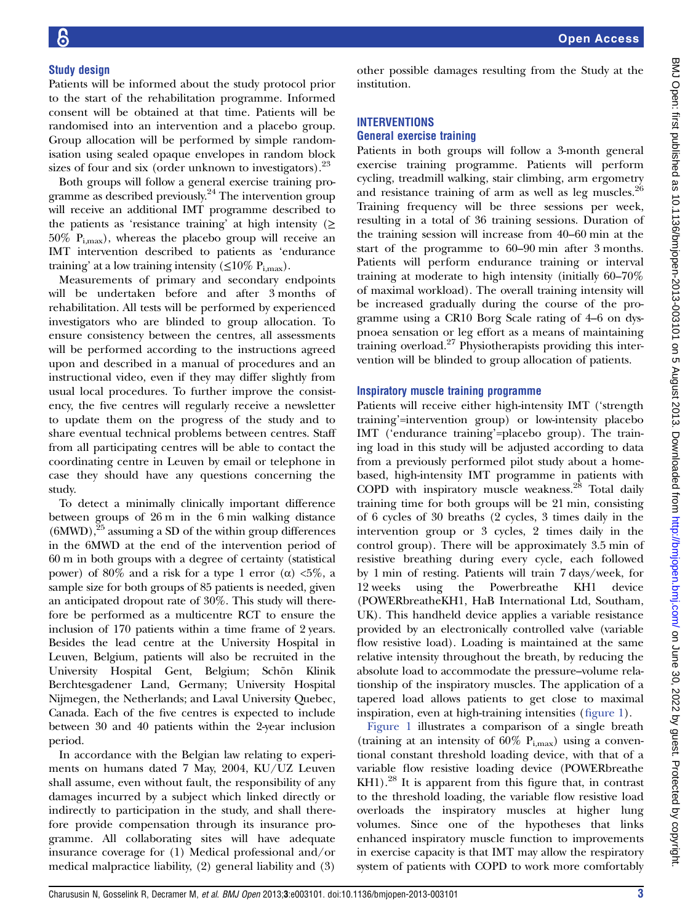#### Study design

Patients will be informed about the study protocol prior to the start of the rehabilitation programme. Informed consent will be obtained at that time. Patients will be randomised into an intervention and a placebo group. Group allocation will be performed by simple randomisation using sealed opaque envelopes in random block sizes of four and six (order unknown to investigators). $23$ 

Both groups will follow a general exercise training programme as described previously.24 The intervention group will receive an additional IMT programme described to the patients as 'resistance training' at high intensity ( $\geq$  $50\%$  P<sub>i,max</sub>), whereas the placebo group will receive an IMT intervention described to patients as 'endurance training' at a low training intensity ( $\leq$ 10% P<sub>i,max</sub>).

Measurements of primary and secondary endpoints will be undertaken before and after 3 months of rehabilitation. All tests will be performed by experienced investigators who are blinded to group allocation. To ensure consistency between the centres, all assessments will be performed according to the instructions agreed upon and described in a manual of procedures and an instructional video, even if they may differ slightly from usual local procedures. To further improve the consistency, the five centres will regularly receive a newsletter to update them on the progress of the study and to share eventual technical problems between centres. Staff from all participating centres will be able to contact the coordinating centre in Leuven by email or telephone in case they should have any questions concerning the study.

To detect a minimally clinically important difference between groups of 26 m in the 6 min walking distance  $(6MWD)$ ,<sup>25</sup> assuming a SD of the within group differences in the 6MWD at the end of the intervention period of 60 m in both groups with a degree of certainty (statistical power) of 80% and a risk for a type 1 error (α)  $5\%$ , a sample size for both groups of 85 patients is needed, given an anticipated dropout rate of 30%. This study will therefore be performed as a multicentre RCT to ensure the inclusion of 170 patients within a time frame of 2 years. Besides the lead centre at the University Hospital in Leuven, Belgium, patients will also be recruited in the University Hospital Gent, Belgium; Schön Klinik Berchtesgadener Land, Germany; University Hospital Nijmegen, the Netherlands; and Laval University Quebec, Canada. Each of the five centres is expected to include between 30 and 40 patients within the 2-year inclusion period.

In accordance with the Belgian law relating to experiments on humans dated 7 May, 2004, KU/UZ Leuven shall assume, even without fault, the responsibility of any damages incurred by a subject which linked directly or indirectly to participation in the study, and shall therefore provide compensation through its insurance programme. All collaborating sites will have adequate insurance coverage for (1) Medical professional and/or medical malpractice liability, (2) general liability and (3)

other possible damages resulting from the Study at the institution.

#### INTERVENTIONS

#### General exercise training

Patients in both groups will follow a 3-month general exercise training programme. Patients will perform cycling, treadmill walking, stair climbing, arm ergometry and resistance training of arm as well as leg muscles.<sup>26</sup> Training frequency will be three sessions per week, resulting in a total of 36 training sessions. Duration of the training session will increase from 40–60 min at the start of the programme to 60–90 min after 3 months. Patients will perform endurance training or interval training at moderate to high intensity (initially 60–70% of maximal workload). The overall training intensity will be increased gradually during the course of the programme using a CR10 Borg Scale rating of 4–6 on dyspnoea sensation or leg effort as a means of maintaining training overload.<sup>27</sup> Physiotherapists providing this intervention will be blinded to group allocation of patients.

#### Inspiratory muscle training programme

Patients will receive either high-intensity IMT ('strength training'=intervention group) or low-intensity placebo IMT ('endurance training'=placebo group). The training load in this study will be adjusted according to data from a previously performed pilot study about a homebased, high-intensity IMT programme in patients with COPD with inspiratory muscle weakness.<sup>28</sup> Total daily training time for both groups will be 21 min, consisting of 6 cycles of 30 breaths (2 cycles, 3 times daily in the intervention group or 3 cycles, 2 times daily in the control group). There will be approximately 3.5 min of resistive breathing during every cycle, each followed by 1 min of resting. Patients will train 7 days/week, for 12 weeks using the Powerbreathe KH1 device (POWERbreatheKH1, HaB International Ltd, Southam, UK). This handheld device applies a variable resistance provided by an electronically controlled valve (variable flow resistive load). Loading is maintained at the same relative intensity throughout the breath, by reducing the absolute load to accommodate the pressure–volume relationship of the inspiratory muscles. The application of a tapered load allows patients to get close to maximal inspiration, even at high-training intensities (figure 1).

Figure 1 illustrates a comparison of a single breath (training at an intensity of  $60\%$  P<sub>i,max</sub>) using a conventional constant threshold loading device, with that of a variable flow resistive loading device (POWERbreathe  $KH1$ ).<sup>28</sup> It is apparent from this figure that, in contrast to the threshold loading, the variable flow resistive load overloads the inspiratory muscles at higher lung volumes. Since one of the hypotheses that links enhanced inspiratory muscle function to improvements in exercise capacity is that IMT may allow the respiratory system of patients with COPD to work more comfortably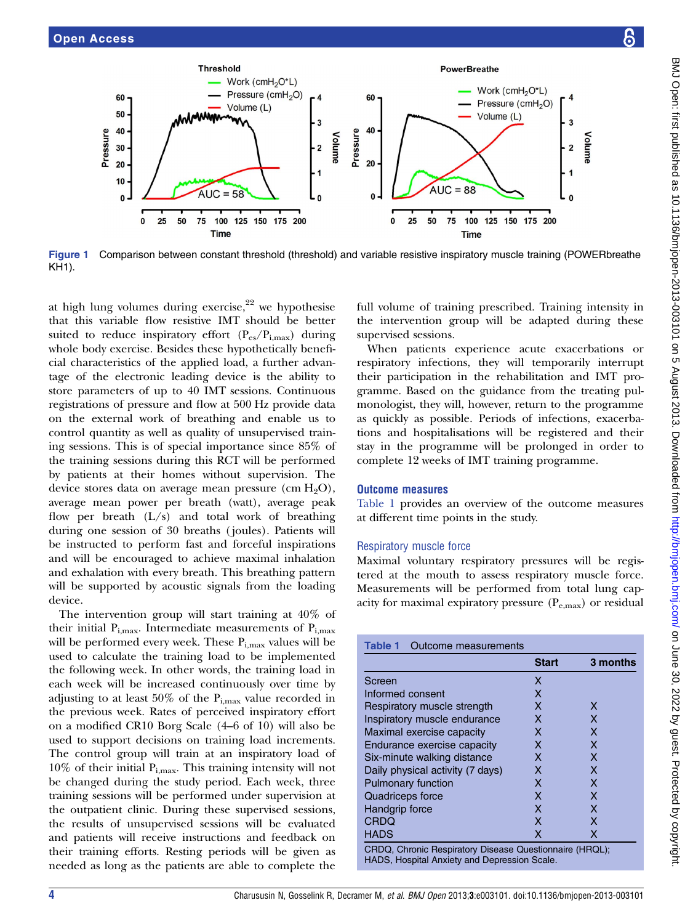

Figure 1 Comparison between constant threshold (threshold) and variable resistive inspiratory muscle training (POWERbreathe KH1).

at high lung volumes during exercise,  $2^2$  we hypothesise that this variable flow resistive IMT should be better suited to reduce inspiratory effort  $(P_{es}/P_{i,max})$  during whole body exercise. Besides these hypothetically beneficial characteristics of the applied load, a further advantage of the electronic leading device is the ability to store parameters of up to 40 IMT sessions. Continuous registrations of pressure and flow at 500 Hz provide data on the external work of breathing and enable us to control quantity as well as quality of unsupervised training sessions. This is of special importance since 85% of the training sessions during this RCT will be performed by patients at their homes without supervision. The device stores data on average mean pressure (cm  $H_2O$ ), average mean power per breath (watt), average peak flow per breath  $(L/s)$  and total work of breathing during one session of 30 breaths ( joules). Patients will be instructed to perform fast and forceful inspirations and will be encouraged to achieve maximal inhalation and exhalation with every breath. This breathing pattern will be supported by acoustic signals from the loading device.

The intervention group will start training at 40% of their initial  $P_{i,max}$ . Intermediate measurements of  $P_{i,max}$ will be performed every week. These  $P_{i,max}$  values will be used to calculate the training load to be implemented the following week. In other words, the training load in each week will be increased continuously over time by adjusting to at least 50% of the  $P_{i,max}$  value recorded in the previous week. Rates of perceived inspiratory effort on a modified CR10 Borg Scale (4–6 of 10) will also be used to support decisions on training load increments. The control group will train at an inspiratory load of  $10\%$  of their initial  $P_{i,max}$ . This training intensity will not be changed during the study period. Each week, three training sessions will be performed under supervision at the outpatient clinic. During these supervised sessions, the results of unsupervised sessions will be evaluated and patients will receive instructions and feedback on their training efforts. Resting periods will be given as needed as long as the patients are able to complete the

full volume of training prescribed. Training intensity in the intervention group will be adapted during these supervised sessions.

When patients experience acute exacerbations or respiratory infections, they will temporarily interrupt their participation in the rehabilitation and IMT programme. Based on the guidance from the treating pulmonologist, they will, however, return to the programme as quickly as possible. Periods of infections, exacerbations and hospitalisations will be registered and their stay in the programme will be prolonged in order to complete 12 weeks of IMT training programme.

#### Outcome measures

Table 1 provides an overview of the outcome measures at different time points in the study.

#### Respiratory muscle force

Maximal voluntary respiratory pressures will be registered at the mouth to assess respiratory muscle force. Measurements will be performed from total lung capacity for maximal expiratory pressure  $(P_{e,\text{max}})$  or residual

| <b>Table 1</b> Outcome measurements |
|-------------------------------------|
|                                     |

|                                  | <b>Start</b> | 3 months |
|----------------------------------|--------------|----------|
| Screen                           | X            |          |
| Informed consent                 | X            |          |
| Respiratory muscle strength      | x            | x        |
| Inspiratory muscle endurance     | x            | x        |
| Maximal exercise capacity        | X            | x        |
| Endurance exercise capacity      | X            | x        |
| Six-minute walking distance      | x            | x        |
| Daily physical activity (7 days) | x            | x        |
| <b>Pulmonary function</b>        | X            | x        |
| <b>Quadriceps force</b>          | X            | x        |
| Handgrip force                   | X            | x        |
| <b>CRDQ</b>                      | x            | x        |
| <b>HADS</b>                      | x            | x        |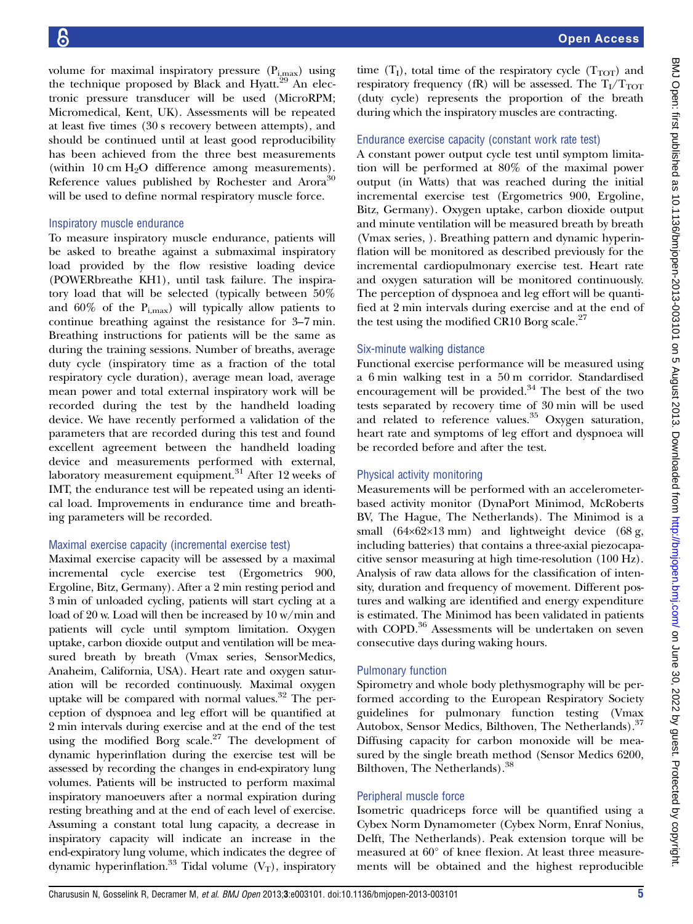Open Access

volume for maximal inspiratory pressure  $(P_{i,max})$  using the technique proposed by Black and Hyatt.<sup>29</sup> An electronic pressure transducer will be used (MicroRPM; Micromedical, Kent, UK). Assessments will be repeated at least five times (30 s recovery between attempts), and should be continued until at least good reproducibility has been achieved from the three best measurements (within 10 cm  $H_2O$  difference among measurements). Reference values published by Rochester and Arora<sup>30</sup> will be used to define normal respiratory muscle force.

#### Inspiratory muscle endurance

To measure inspiratory muscle endurance, patients will be asked to breathe against a submaximal inspiratory load provided by the flow resistive loading device (POWERbreathe KH1), until task failure. The inspiratory load that will be selected (typically between 50% and  $60\%$  of the  $P_{i, max}$ ) will typically allow patients to continue breathing against the resistance for 3–7 min. Breathing instructions for patients will be the same as during the training sessions. Number of breaths, average duty cycle (inspiratory time as a fraction of the total respiratory cycle duration), average mean load, average mean power and total external inspiratory work will be recorded during the test by the handheld loading device. We have recently performed a validation of the parameters that are recorded during this test and found excellent agreement between the handheld loading device and measurements performed with external, laboratory measurement equipment. $31$  After 12 weeks of IMT, the endurance test will be repeated using an identical load. Improvements in endurance time and breathing parameters will be recorded.

#### Maximal exercise capacity (incremental exercise test)

Maximal exercise capacity will be assessed by a maximal incremental cycle exercise test (Ergometrics 900, Ergoline, Bitz, Germany). After a 2 min resting period and 3 min of unloaded cycling, patients will start cycling at a load of 20 w. Load will then be increased by 10 w/min and patients will cycle until symptom limitation. Oxygen uptake, carbon dioxide output and ventilation will be measured breath by breath (Vmax series, SensorMedics, Anaheim, California, USA). Heart rate and oxygen saturation will be recorded continuously. Maximal oxygen uptake will be compared with normal values.<sup>32</sup> The perception of dyspnoea and leg effort will be quantified at 2 min intervals during exercise and at the end of the test using the modified Borg scale. $27$  The development of dynamic hyperinflation during the exercise test will be assessed by recording the changes in end-expiratory lung volumes. Patients will be instructed to perform maximal inspiratory manoeuvers after a normal expiration during resting breathing and at the end of each level of exercise. Assuming a constant total lung capacity, a decrease in inspiratory capacity will indicate an increase in the end-expiratory lung volume, which indicates the degree of dynamic hyperinflation.<sup>33</sup> Tidal volume  $(V_T)$ , inspiratory

time  $(T<sub>I</sub>)$ , total time of the respiratory cycle  $(T<sub>TOT</sub>)$  and respiratory frequency (fR) will be assessed. The  $T_I/T_{TOT}$ (duty cycle) represents the proportion of the breath during which the inspiratory muscles are contracting.

#### Endurance exercise capacity (constant work rate test)

A constant power output cycle test until symptom limitation will be performed at 80% of the maximal power output (in Watts) that was reached during the initial incremental exercise test (Ergometrics 900, Ergoline, Bitz, Germany). Oxygen uptake, carbon dioxide output and minute ventilation will be measured breath by breath (Vmax series, ). Breathing pattern and dynamic hyperinflation will be monitored as described previously for the incremental cardiopulmonary exercise test. Heart rate and oxygen saturation will be monitored continuously. The perception of dyspnoea and leg effort will be quantified at 2 min intervals during exercise and at the end of the test using the modified CR10 Borg scale. $27$ 

#### Six-minute walking distance

Functional exercise performance will be measured using a 6 min walking test in a 50 m corridor. Standardised encouragement will be provided. $34$  The best of the two tests separated by recovery time of 30 min will be used and related to reference values.<sup>35</sup> Oxygen saturation, heart rate and symptoms of leg effort and dyspnoea will be recorded before and after the test.

#### Physical activity monitoring

Measurements will be performed with an accelerometerbased activity monitor (DynaPort Minimod, McRoberts BV, The Hague, The Netherlands). The Minimod is a small  $(64\times62\times13 \text{ mm})$  and lightweight device  $(68 \text{ g},$ including batteries) that contains a three-axial piezocapacitive sensor measuring at high time-resolution (100 Hz). Analysis of raw data allows for the classification of intensity, duration and frequency of movement. Different postures and walking are identified and energy expenditure is estimated. The Minimod has been validated in patients with COPD.<sup>36</sup> Assessments will be undertaken on seven consecutive days during waking hours.

#### Pulmonary function

Spirometry and whole body plethysmography will be performed according to the European Respiratory Society guidelines for pulmonary function testing (Vmax Autobox, Sensor Medics, Bilthoven, The Netherlands).<sup>37</sup> Diffusing capacity for carbon monoxide will be measured by the single breath method (Sensor Medics 6200, Bilthoven, The Netherlands).<sup>38</sup>

#### Peripheral muscle force

Isometric quadriceps force will be quantified using a Cybex Norm Dynamometer (Cybex Norm, Enraf Nonius, Delft, The Netherlands). Peak extension torque will be measured at 60° of knee flexion. At least three measurements will be obtained and the highest reproducible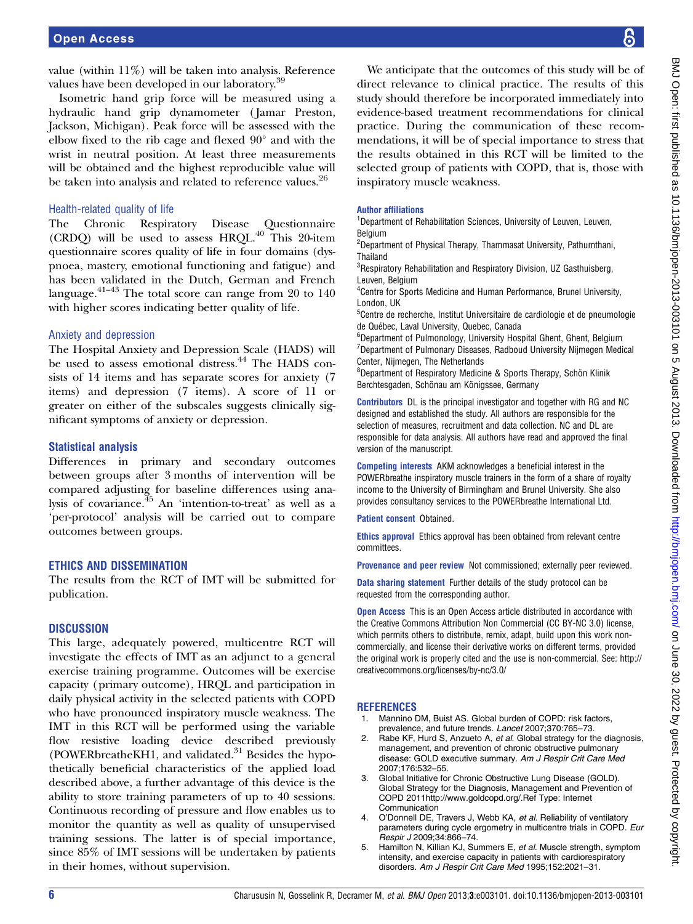value (within 11%) will be taken into analysis. Reference values have been developed in our laboratory.<sup>39</sup>

Isometric hand grip force will be measured using a hydraulic hand grip dynamometer ( Jamar Preston, Jackson, Michigan). Peak force will be assessed with the elbow fixed to the rib cage and flexed 90° and with the wrist in neutral position. At least three measurements will be obtained and the highest reproducible value will be taken into analysis and related to reference values.<sup>26</sup>

#### Health-related quality of life

The Chronic Respiratory Disease Questionnaire (CRDQ) will be used to assess HRQL.<sup>40</sup> This 20-item questionnaire scores quality of life in four domains (dyspnoea, mastery, emotional functioning and fatigue) and has been validated in the Dutch, German and French language.41–<sup>43</sup> The total score can range from 20 to 140 with higher scores indicating better quality of life.

#### Anxiety and depression

The Hospital Anxiety and Depression Scale (HADS) will be used to assess emotional distress.<sup>44</sup> The HADS consists of 14 items and has separate scores for anxiety (7 items) and depression (7 items). A score of 11 or greater on either of the subscales suggests clinically significant symptoms of anxiety or depression.

#### Statistical analysis

Differences in primary and secondary outcomes between groups after 3 months of intervention will be compared adjusting for baseline differences using analysis of covariance.<sup>45</sup> An 'intention-to-treat' as well as a 'per-protocol' analysis will be carried out to compare outcomes between groups.

#### ETHICS AND DISSEMINATION

The results from the RCT of IMT will be submitted for publication.

#### **DISCUSSION**

This large, adequately powered, multicentre RCT will investigate the effects of IMT as an adjunct to a general exercise training programme. Outcomes will be exercise capacity (primary outcome), HRQL and participation in daily physical activity in the selected patients with COPD who have pronounced inspiratory muscle weakness. The IMT in this RCT will be performed using the variable flow resistive loading device described previously (POWERbreatheKH1, and validated. $31$  Besides the hypothetically beneficial characteristics of the applied load described above, a further advantage of this device is the ability to store training parameters of up to 40 sessions. Continuous recording of pressure and flow enables us to monitor the quantity as well as quality of unsupervised training sessions. The latter is of special importance, since 85% of IMT sessions will be undertaken by patients in their homes, without supervision.

We anticipate that the outcomes of this study will be of direct relevance to clinical practice. The results of this study should therefore be incorporated immediately into evidence-based treatment recommendations for clinical practice. During the communication of these recommendations, it will be of special importance to stress that the results obtained in this RCT will be limited to the selected group of patients with COPD, that is, those with inspiratory muscle weakness.

#### Author affiliations

<sup>1</sup>Department of Rehabilitation Sciences, University of Leuven, Leuven, **Belgium** 

<sup>2</sup>Department of Physical Therapy, Thammasat University, Pathumthani, Thailand

<sup>3</sup>Respiratory Rehabilitation and Respiratory Division, UZ Gasthuisberg, Leuven, Belgium

4 Centre for Sports Medicine and Human Performance, Brunel University, London, UK

<sup>5</sup>Centre de recherche, Institut Universitaire de cardiologie et de pneumologie de Québec, Laval University, Quebec, Canada

6 Department of Pulmonology, University Hospital Ghent, Ghent, Belgium 7 Department of Pulmonary Diseases, Radboud University Nijmegen Medical Center, Nijmegen, The Netherlands

8 Department of Respiratory Medicine & Sports Therapy, Schön Klinik Berchtesgaden, Schönau am Königssee, Germany

Contributors DL is the principal investigator and together with RG and NC designed and established the study. All authors are responsible for the selection of measures, recruitment and data collection. NC and DL are responsible for data analysis. All authors have read and approved the final version of the manuscript.

Competing interests AKM acknowledges a beneficial interest in the POWERbreathe inspiratory muscle trainers in the form of a share of royalty income to the University of Birmingham and Brunel University. She also provides consultancy services to the POWERbreathe International Ltd.

Patient consent Obtained.

Ethics approval Ethics approval has been obtained from relevant centre committees.

Provenance and peer review Not commissioned; externally peer reviewed.

Data sharing statement Further details of the study protocol can be requested from the corresponding author.

**Open Access** This is an Open Access article distributed in accordance with the Creative Commons Attribution Non Commercial (CC BY-NC 3.0) license, which permits others to distribute, remix, adapt, build upon this work noncommercially, and license their derivative works on different terms, provided the original work is properly cited and the use is non-commercial. See: [http://](http://creativecommons.org/licenses/by-nc/3.0/) [creativecommons.org/licenses/by-nc/3.0/](http://creativecommons.org/licenses/by-nc/3.0/)

#### **REFERENCES**

- 1. Mannino DM, Buist AS. Global burden of COPD: risk factors, prevalence, and future trends. Lancet 2007;370:765–73.
- Rabe KF, Hurd S, Anzueto A, et al. Global strategy for the diagnosis, management, and prevention of chronic obstructive pulmonary disease: GOLD executive summary. Am J Respir Crit Care Med 2007;176:532–55.
- 3. Global Initiative for Chronic Obstructive Lung Disease (GOLD). Global Strategy for the Diagnosis, Management and Prevention of COPD 2011http://www.goldcopd.org/.Ref Type: Internet Communication
- 4. O'Donnell DE, Travers J, Webb KA, et al. Reliability of ventilatory parameters during cycle ergometry in multicentre trials in COPD. Eur Respir J 2009;34:866–74.
- 5. Hamilton N, Killian KJ, Summers E, et al. Muscle strength, symptom intensity, and exercise capacity in patients with cardiorespiratory disorders. Am J Respir Crit Care Med 1995;152:2021–31.